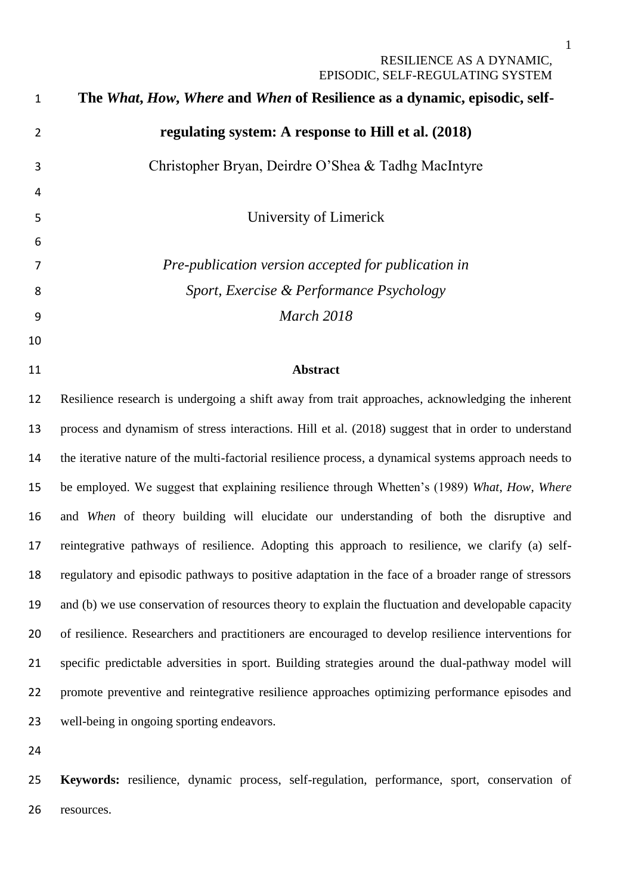| $\mathbf{1}$   | The What, How, Where and When of Resilience as a dynamic, episodic, self-                             |
|----------------|-------------------------------------------------------------------------------------------------------|
| $\overline{2}$ | regulating system: A response to Hill et al. (2018)                                                   |
| 3              | Christopher Bryan, Deirdre O'Shea & Tadhg MacIntyre                                                   |
| 4              |                                                                                                       |
| 5              | University of Limerick                                                                                |
| 6              |                                                                                                       |
| 7              | Pre-publication version accepted for publication in                                                   |
| 8              | Sport, Exercise & Performance Psychology                                                              |
| 9              | <b>March 2018</b>                                                                                     |
| 10             |                                                                                                       |
| 11             | <b>Abstract</b>                                                                                       |
| 12             | Resilience research is undergoing a shift away from trait approaches, acknowledging the inherent      |
| 13             | process and dynamism of stress interactions. Hill et al. (2018) suggest that in order to understand   |
| 14             | the iterative nature of the multi-factorial resilience process, a dynamical systems approach needs to |
| 15             | be employed. We suggest that explaining resilience through Whetten's (1989) What, How, Where          |
| 16             | and When of theory building will elucidate our understanding of both the disruptive and               |
| 17             | reintegrative pathways of resilience. Adopting this approach to resilience, we clarify (a) self-      |
| 18             | regulatory and episodic pathways to positive adaptation in the face of a broader range of stressors   |
| 19             | and (b) we use conservation of resources theory to explain the fluctuation and developable capacity   |
| 20             | of resilience. Researchers and practitioners are encouraged to develop resilience interventions for   |
| 21             | specific predictable adversities in sport. Building strategies around the dual-pathway model will     |
| 22             | promote preventive and reintegrative resilience approaches optimizing performance episodes and        |
| 23             | well-being in ongoing sporting endeavors.                                                             |
| 24             |                                                                                                       |

 **Keywords:** resilience, dynamic process, self-regulation, performance, sport, conservation of resources.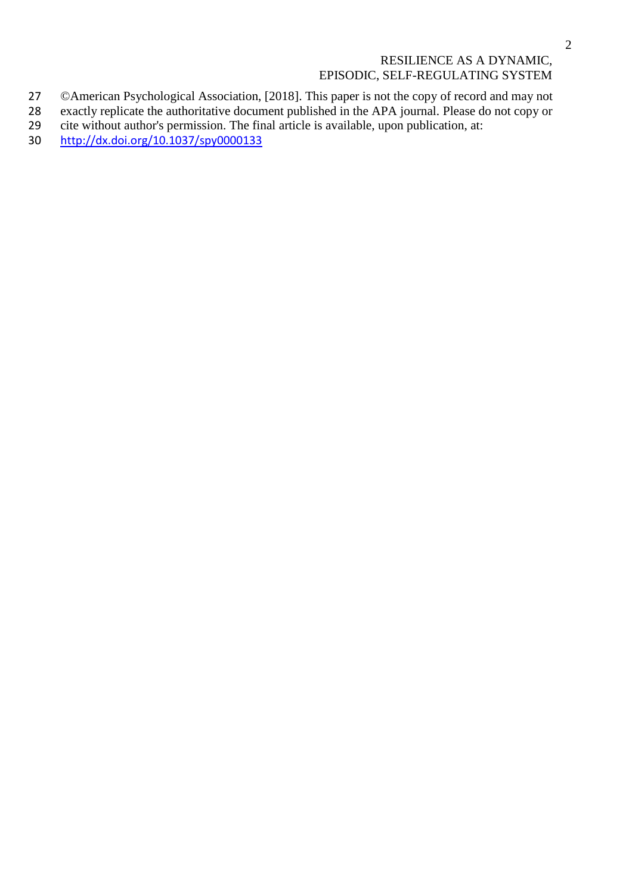- 27 © American Psychological Association, [2018]. This paper is not the copy of record and may not exactly replicate the authoritative document published in the APA journal. Please do not copy or
- 28 exactly replicate the authoritative document published in the APA journal. Please do not copy or cite without author's permission. The final article is available, upon publication, at:
- 29 cite without author's permission. The final article is available, upon publication, at:<br>30 http://dx.doi.org/10.1037/spy0000133
- [http://dx.doi.org/10.1037/spy0000133](http://psycnet.apa.org/doi/10.1037/spy0000133)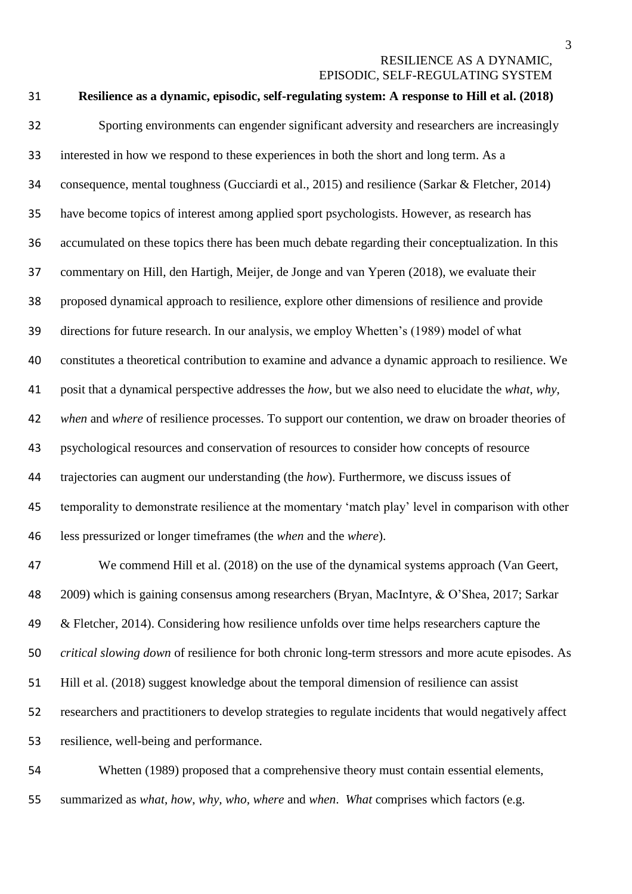| 31 | Resilience as a dynamic, episodic, self-regulating system: A response to Hill et al. (2018)            |
|----|--------------------------------------------------------------------------------------------------------|
| 32 | Sporting environments can engender significant adversity and researchers are increasingly              |
| 33 | interested in how we respond to these experiences in both the short and long term. As a                |
| 34 | consequence, mental toughness (Gucciardi et al., 2015) and resilience (Sarkar & Fletcher, 2014)        |
| 35 | have become topics of interest among applied sport psychologists. However, as research has             |
| 36 | accumulated on these topics there has been much debate regarding their conceptualization. In this      |
| 37 | commentary on Hill, den Hartigh, Meijer, de Jonge and van Yperen (2018), we evaluate their             |
| 38 | proposed dynamical approach to resilience, explore other dimensions of resilience and provide          |
| 39 | directions for future research. In our analysis, we employ Whetten's (1989) model of what              |
| 40 | constitutes a theoretical contribution to examine and advance a dynamic approach to resilience. We     |
| 41 | posit that a dynamical perspective addresses the how, but we also need to elucidate the what, why,     |
| 42 | when and where of resilience processes. To support our contention, we draw on broader theories of      |
| 43 | psychological resources and conservation of resources to consider how concepts of resource             |
| 44 | trajectories can augment our understanding (the how). Furthermore, we discuss issues of                |
| 45 | temporality to demonstrate resilience at the momentary 'match play' level in comparison with other     |
| 46 | less pressurized or longer timeframes (the when and the where).                                        |
| 47 | We commend Hill et al. (2018) on the use of the dynamical systems approach (Van Geert,                 |
| 48 | 2009) which is gaining consensus among researchers (Bryan, MacIntyre, & O'Shea, 2017; Sarkar           |
| 49 | & Fletcher, 2014). Considering how resilience unfolds over time helps researchers capture the          |
| 50 | critical slowing down of resilience for both chronic long-term stressors and more acute episodes. As   |
| 51 | Hill et al. (2018) suggest knowledge about the temporal dimension of resilience can assist             |
| 52 | researchers and practitioners to develop strategies to regulate incidents that would negatively affect |
| 53 | resilience, well-being and performance.                                                                |

 Whetten (1989) proposed that a comprehensive theory must contain essential elements, summarized as *what*, *how*, *why, who, where* and *when*. *What* comprises which factors (e.g.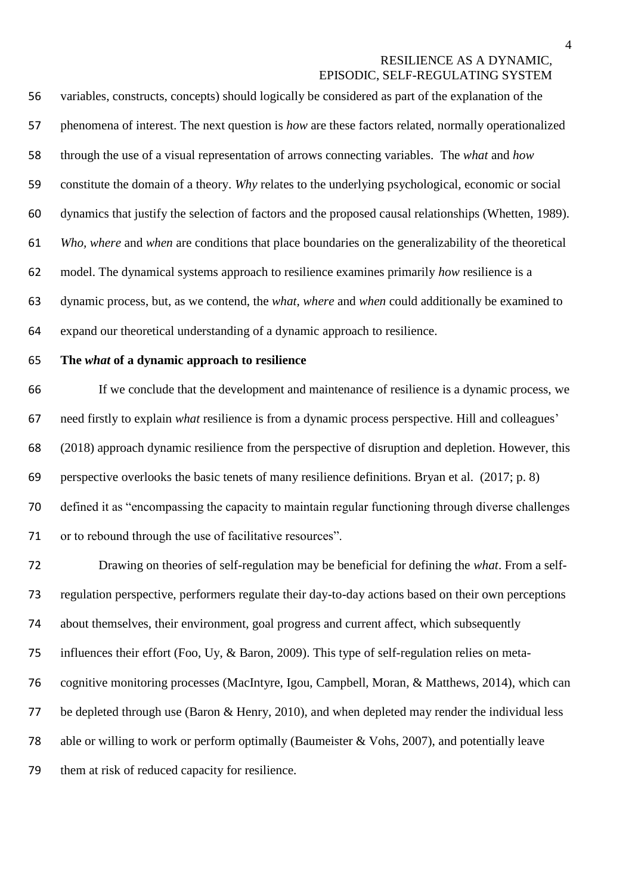variables, constructs, concepts) should logically be considered as part of the explanation of the phenomena of interest. The next question is *how* are these factors related, normally operationalized through the use of a visual representation of arrows connecting variables. The *what* and *how* constitute the domain of a theory. *Why* relates to the underlying psychological, economic or social dynamics that justify the selection of factors and the proposed causal relationships (Whetten, 1989). *Who, where* and *when* are conditions that place boundaries on the generalizability of the theoretical model. The dynamical systems approach to resilience examines primarily *how* resilience is a dynamic process, but, as we contend, the *what, where* and *when* could additionally be examined to expand our theoretical understanding of a dynamic approach to resilience.

#### **The** *what* **of a dynamic approach to resilience**

 If we conclude that the development and maintenance of resilience is a dynamic process, we need firstly to explain *what* resilience is from a dynamic process perspective. Hill and colleagues' (2018) approach dynamic resilience from the perspective of disruption and depletion. However, this perspective overlooks the basic tenets of many resilience definitions. Bryan et al. (2017; p. 8) defined it as "encompassing the capacity to maintain regular functioning through diverse challenges or to rebound through the use of facilitative resources".

 Drawing on theories of self-regulation may be beneficial for defining the *what*. From a self- regulation perspective, performers regulate their day-to-day actions based on their own perceptions about themselves, their environment, goal progress and current affect, which subsequently influences their effort (Foo, Uy, & Baron, 2009). This type of self-regulation relies on meta- cognitive monitoring processes (MacIntyre, Igou, Campbell, Moran, & Matthews, 2014), which can 77 be depleted through use (Baron & Henry, 2010), and when depleted may render the individual less able or willing to work or perform optimally (Baumeister & Vohs, 2007), and potentially leave them at risk of reduced capacity for resilience.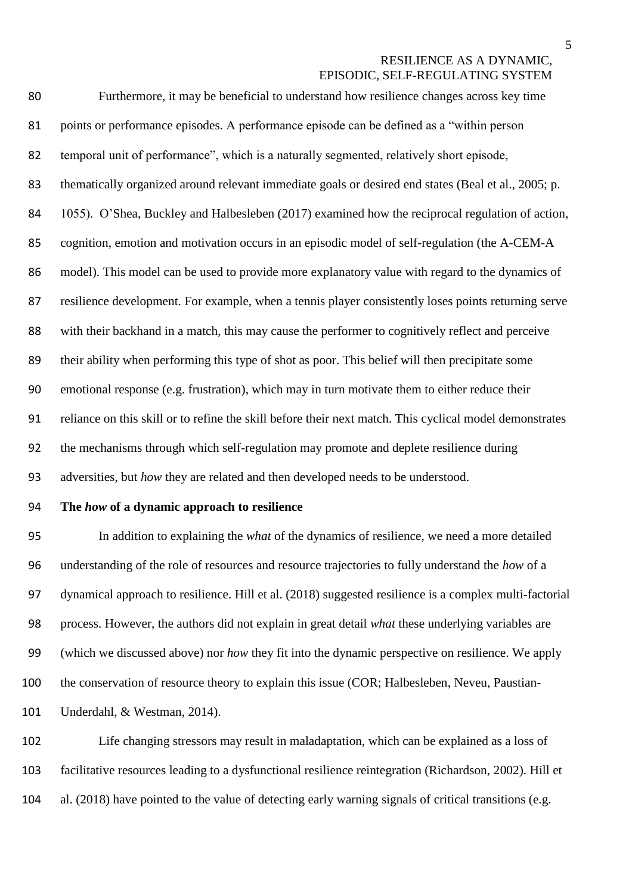| 80 | Furthermore, it may be beneficial to understand how resilience changes across key time                  |
|----|---------------------------------------------------------------------------------------------------------|
| 81 | points or performance episodes. A performance episode can be defined as a "within person                |
| 82 | temporal unit of performance", which is a naturally segmented, relatively short episode,                |
| 83 | the matically organized around relevant immediate goals or desired end states (Beal et al., 2005; p.    |
| 84 | 1055). O'Shea, Buckley and Halbesleben (2017) examined how the reciprocal regulation of action,         |
| 85 | cognition, emotion and motivation occurs in an episodic model of self-regulation (the A-CEM-A           |
| 86 | model). This model can be used to provide more explanatory value with regard to the dynamics of         |
| 87 | resilience development. For example, when a tennis player consistently loses points returning serve     |
| 88 | with their backhand in a match, this may cause the performer to cognitively reflect and perceive        |
| 89 | their ability when performing this type of shot as poor. This belief will then precipitate some         |
| 90 | emotional response (e.g. frustration), which may in turn motivate them to either reduce their           |
| 91 | reliance on this skill or to refine the skill before their next match. This cyclical model demonstrates |
| 92 | the mechanisms through which self-regulation may promote and deplete resilience during                  |
| 93 | adversities, but how they are related and then developed needs to be understood.                        |

## **The** *how* **of a dynamic approach to resilience**

 In addition to explaining the *what* of the dynamics of resilience, we need a more detailed understanding of the role of resources and resource trajectories to fully understand the *how* of a dynamical approach to resilience. Hill et al. (2018) suggested resilience is a complex multi-factorial process. However, the authors did not explain in great detail *what* these underlying variables are (which we discussed above) nor *how* they fit into the dynamic perspective on resilience. We apply the conservation of resource theory to explain this issue (COR; Halbesleben, Neveu, Paustian-Underdahl, & Westman, 2014).

 Life changing stressors may result in maladaptation, which can be explained as a loss of facilitative resources leading to a dysfunctional resilience reintegration (Richardson, 2002). Hill et al. (2018) have pointed to the value of detecting early warning signals of critical transitions (e.g.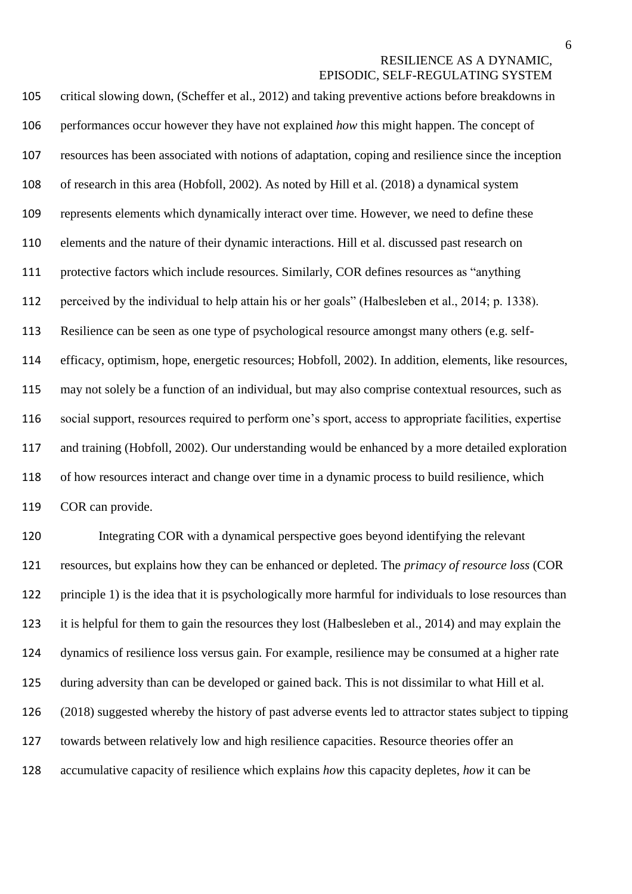critical slowing down, (Scheffer et al., 2012) and taking preventive actions before breakdowns in performances occur however they have not explained *how* this might happen. The concept of resources has been associated with notions of adaptation, coping and resilience since the inception of research in this area (Hobfoll, 2002). As noted by Hill et al. (2018) a dynamical system represents elements which dynamically interact over time. However, we need to define these elements and the nature of their dynamic interactions. Hill et al. discussed past research on protective factors which include resources. Similarly, COR defines resources as "anything perceived by the individual to help attain his or her goals" (Halbesleben et al., 2014; p. 1338). Resilience can be seen as one type of psychological resource amongst many others (e.g. self- efficacy, optimism, hope, energetic resources; Hobfoll, 2002). In addition, elements, like resources, may not solely be a function of an individual, but may also comprise contextual resources, such as social support, resources required to perform one's sport, access to appropriate facilities, expertise and training (Hobfoll, 2002). Our understanding would be enhanced by a more detailed exploration of how resources interact and change over time in a dynamic process to build resilience, which COR can provide.

 Integrating COR with a dynamical perspective goes beyond identifying the relevant resources, but explains how they can be enhanced or depleted. The *primacy of resource loss* (COR principle 1) is the idea that it is psychologically more harmful for individuals to lose resources than it is helpful for them to gain the resources they lost (Halbesleben et al., 2014) and may explain the dynamics of resilience loss versus gain. For example, resilience may be consumed at a higher rate during adversity than can be developed or gained back. This is not dissimilar to what Hill et al. (2018) suggested whereby the history of past adverse events led to attractor states subject to tipping towards between relatively low and high resilience capacities. Resource theories offer an accumulative capacity of resilience which explains *how* this capacity depletes, *how* it can be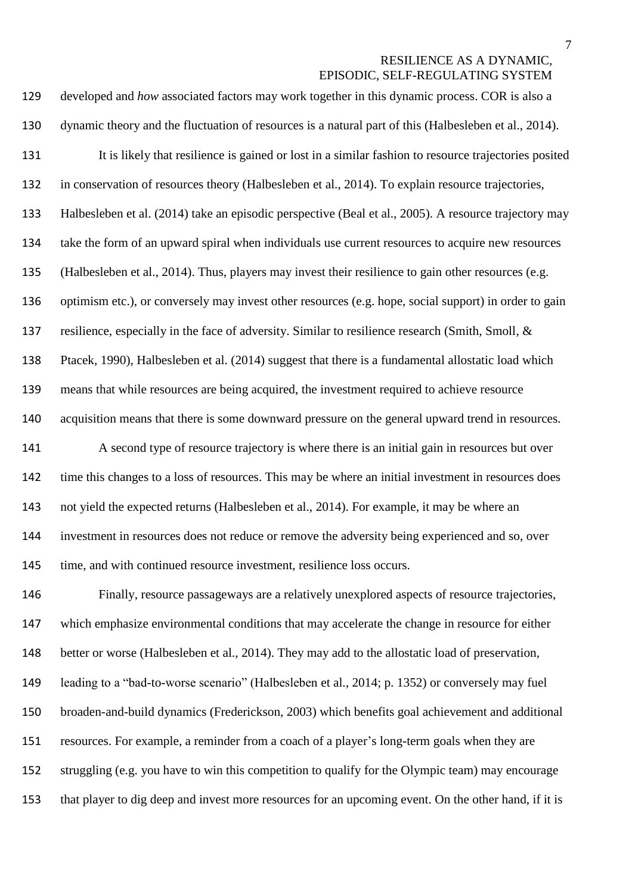| 129   | developed and how associated factors may work together in this dynamic process. COR is also a         |
|-------|-------------------------------------------------------------------------------------------------------|
| 130   | dynamic theory and the fluctuation of resources is a natural part of this (Halbesleben et al., 2014). |
| 131   | It is likely that resilience is gained or lost in a similar fashion to resource trajectories posited  |
| 132   | in conservation of resources theory (Halbesleben et al., 2014). To explain resource trajectories,     |
| 133   | Halbesleben et al. (2014) take an episodic perspective (Beal et al., 2005). A resource trajectory may |
| 134   | take the form of an upward spiral when individuals use current resources to acquire new resources     |
| 135   | (Halbesleben et al., 2014). Thus, players may invest their resilience to gain other resources (e.g.   |
| 136   | optimism etc.), or conversely may invest other resources (e.g. hope, social support) in order to gain |
| 137   | resilience, especially in the face of adversity. Similar to resilience research (Smith, Smoll, &      |
| 138   | Ptacek, 1990), Halbesleben et al. (2014) suggest that there is a fundamental allostatic load which    |
| 139   | means that while resources are being acquired, the investment required to achieve resource            |
| 140   | acquisition means that there is some downward pressure on the general upward trend in resources.      |
| 141   | A second type of resource trajectory is where there is an initial gain in resources but over          |
| 142   | time this changes to a loss of resources. This may be where an initial investment in resources does   |
| 143   | not yield the expected returns (Halbesleben et al., 2014). For example, it may be where an            |
| 144   | investment in resources does not reduce or remove the adversity being experienced and so, over        |
| 145   | time, and with continued resource investment, resilience loss occurs.                                 |
| 146   | Finally, resource passageways are a relatively unexplored aspects of resource trajectories,           |
| $117$ | which emphasize environmental conditions that may accelerate the change in resource for either        |

 which emphasize environmental conditions that may accelerate the change in resource for either better or worse (Halbesleben et al., 2014). They may add to the allostatic load of preservation, leading to a "bad-to-worse scenario" (Halbesleben et al., 2014; p. 1352) or conversely may fuel broaden-and-build dynamics (Frederickson, 2003) which benefits goal achievement and additional resources. For example, a reminder from a coach of a player's long-term goals when they are struggling (e.g. you have to win this competition to qualify for the Olympic team) may encourage that player to dig deep and invest more resources for an upcoming event. On the other hand, if it is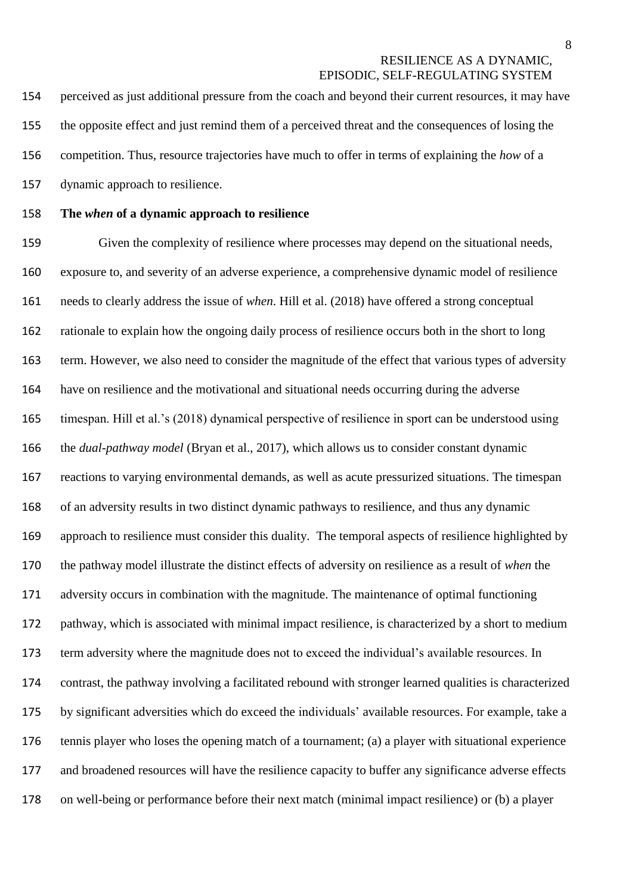perceived as just additional pressure from the coach and beyond their current resources, it may have the opposite effect and just remind them of a perceived threat and the consequences of losing the competition. Thus, resource trajectories have much to offer in terms of explaining the *how* of a dynamic approach to resilience.

#### **The** *when* **of a dynamic approach to resilience**

 Given the complexity of resilience where processes may depend on the situational needs, exposure to, and severity of an adverse experience, a comprehensive dynamic model of resilience needs to clearly address the issue of *when*. Hill et al. (2018) have offered a strong conceptual rationale to explain how the ongoing daily process of resilience occurs both in the short to long term. However, we also need to consider the magnitude of the effect that various types of adversity have on resilience and the motivational and situational needs occurring during the adverse timespan. Hill et al.'s (2018) dynamical perspective of resilience in sport can be understood using the *dual-pathway model* (Bryan et al., 2017), which allows us to consider constant dynamic reactions to varying environmental demands, as well as acute pressurized situations. The timespan of an adversity results in two distinct dynamic pathways to resilience, and thus any dynamic approach to resilience must consider this duality. The temporal aspects of resilience highlighted by the pathway model illustrate the distinct effects of adversity on resilience as a result of *when* the adversity occurs in combination with the magnitude. The maintenance of optimal functioning pathway, which is associated with minimal impact resilience, is characterized by a short to medium term adversity where the magnitude does not to exceed the individual's available resources. In contrast, the pathway involving a facilitated rebound with stronger learned qualities is characterized by significant adversities which do exceed the individuals' available resources. For example, take a tennis player who loses the opening match of a tournament; (a) a player with situational experience and broadened resources will have the resilience capacity to buffer any significance adverse effects on well-being or performance before their next match (minimal impact resilience) or (b) a player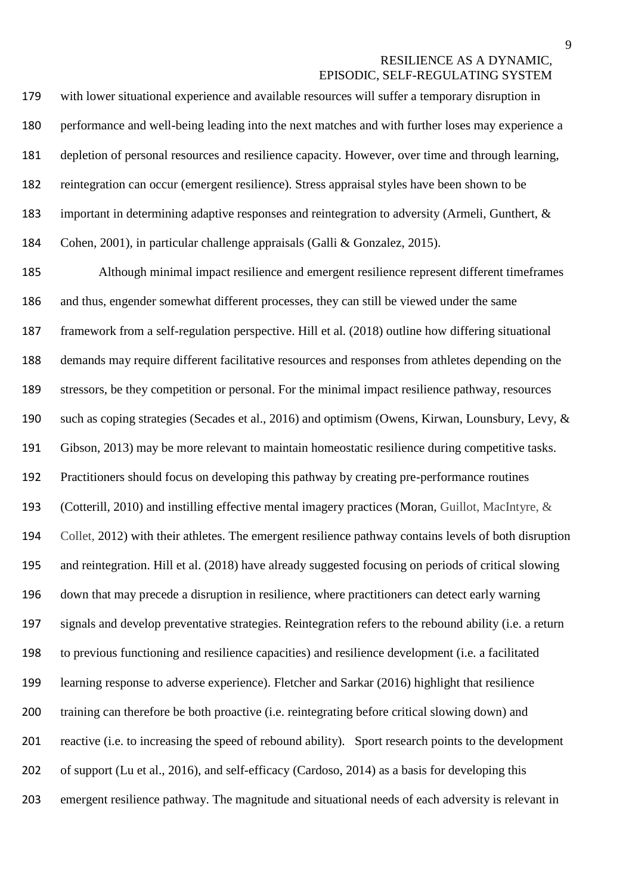with lower situational experience and available resources will suffer a temporary disruption in performance and well-being leading into the next matches and with further loses may experience a depletion of personal resources and resilience capacity. However, over time and through learning, reintegration can occur (emergent resilience). Stress appraisal styles have been shown to be important in determining adaptive responses and reintegration to adversity (Armeli, Gunthert, & Cohen, 2001), in particular challenge appraisals (Galli & Gonzalez, 2015).

 Although minimal impact resilience and emergent resilience represent different timeframes and thus, engender somewhat different processes, they can still be viewed under the same framework from a self-regulation perspective. Hill et al. (2018) outline how differing situational demands may require different facilitative resources and responses from athletes depending on the stressors, be they competition or personal. For the minimal impact resilience pathway, resources such as coping strategies (Secades et al., 2016) and optimism (Owens, Kirwan, Lounsbury, Levy, & Gibson, 2013) may be more relevant to maintain homeostatic resilience during competitive tasks. Practitioners should focus on developing this pathway by creating pre-performance routines (Cotterill, 2010) and instilling effective mental imagery practices (Moran, Guillot, MacIntyre, & Collet, 2012) with their athletes. The emergent resilience pathway contains levels of both disruption and reintegration. Hill et al. (2018) have already suggested focusing on periods of critical slowing down that may precede a disruption in resilience, where practitioners can detect early warning signals and develop preventative strategies. Reintegration refers to the rebound ability (i.e. a return to previous functioning and resilience capacities) and resilience development (i.e. a facilitated learning response to adverse experience). Fletcher and Sarkar (2016) highlight that resilience training can therefore be both proactive (i.e. reintegrating before critical slowing down) and reactive (i.e. to increasing the speed of rebound ability). Sport research points to the development of support (Lu et al., 2016), and self-efficacy (Cardoso, 2014) as a basis for developing this emergent resilience pathway. The magnitude and situational needs of each adversity is relevant in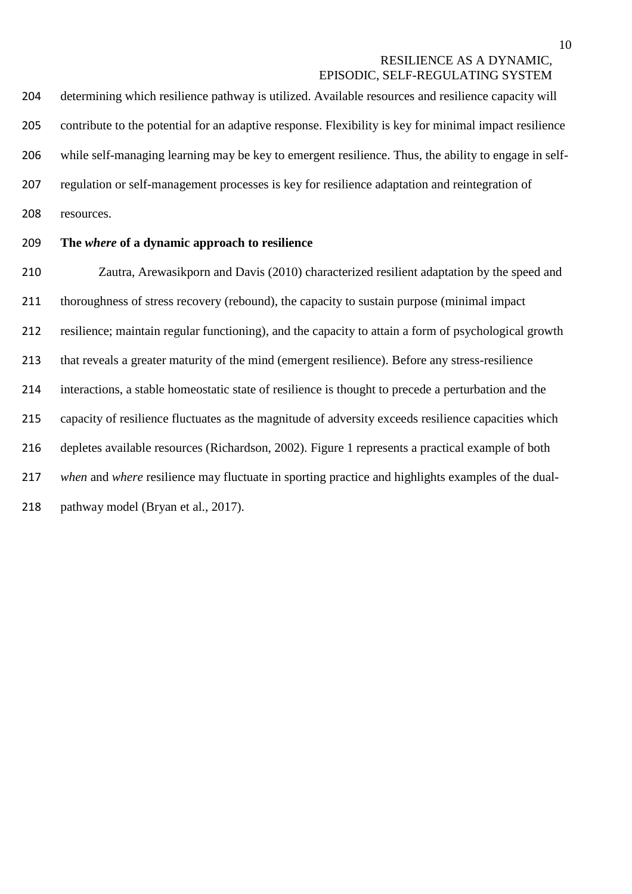determining which resilience pathway is utilized. Available resources and resilience capacity will contribute to the potential for an adaptive response. Flexibility is key for minimal impact resilience while self-managing learning may be key to emergent resilience. Thus, the ability to engage in self- regulation or self-management processes is key for resilience adaptation and reintegration of resources.

## **The** *where* **of a dynamic approach to resilience**

 Zautra, Arewasikporn and Davis (2010) characterized resilient adaptation by the speed and thoroughness of stress recovery (rebound), the capacity to sustain purpose (minimal impact resilience; maintain regular functioning), and the capacity to attain a form of psychological growth that reveals a greater maturity of the mind (emergent resilience). Before any stress-resilience interactions, a stable homeostatic state of resilience is thought to precede a perturbation and the capacity of resilience fluctuates as the magnitude of adversity exceeds resilience capacities which depletes available resources (Richardson, 2002). Figure 1 represents a practical example of both *when* and *where* resilience may fluctuate in sporting practice and highlights examples of the dual-218 pathway model (Bryan et al., 2017).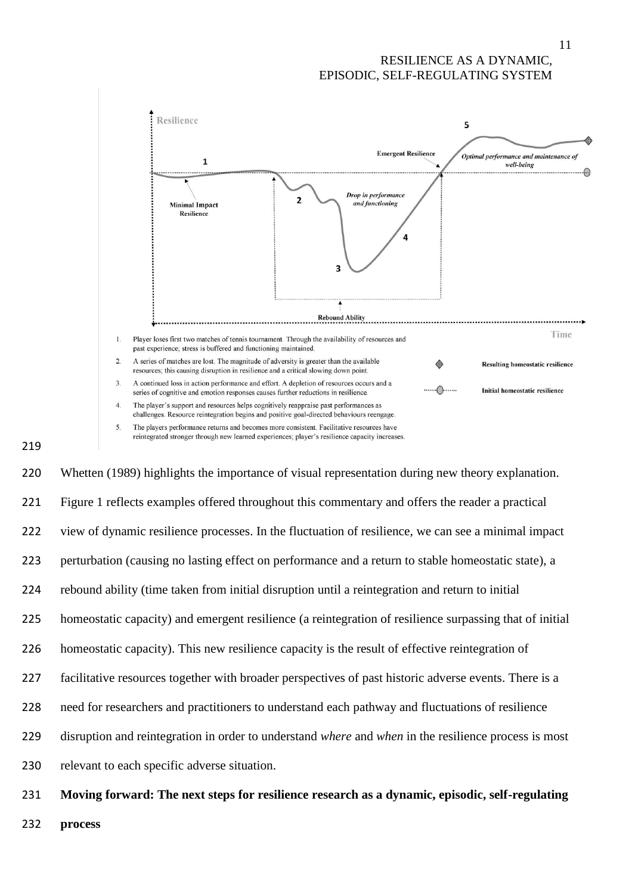

#### 

 Whetten (1989) highlights the importance of visual representation during new theory explanation. Figure 1 reflects examples offered throughout this commentary and offers the reader a practical view of dynamic resilience processes. In the fluctuation of resilience, we can see a minimal impact perturbation (causing no lasting effect on performance and a return to stable homeostatic state), a rebound ability (time taken from initial disruption until a reintegration and return to initial homeostatic capacity) and emergent resilience (a reintegration of resilience surpassing that of initial homeostatic capacity). This new resilience capacity is the result of effective reintegration of facilitative resources together with broader perspectives of past historic adverse events. There is a need for researchers and practitioners to understand each pathway and fluctuations of resilience disruption and reintegration in order to understand *where* and *when* in the resilience process is most relevant to each specific adverse situation.

- **Moving forward: The next steps for resilience research as a dynamic, episodic, self-regulating**
- **process**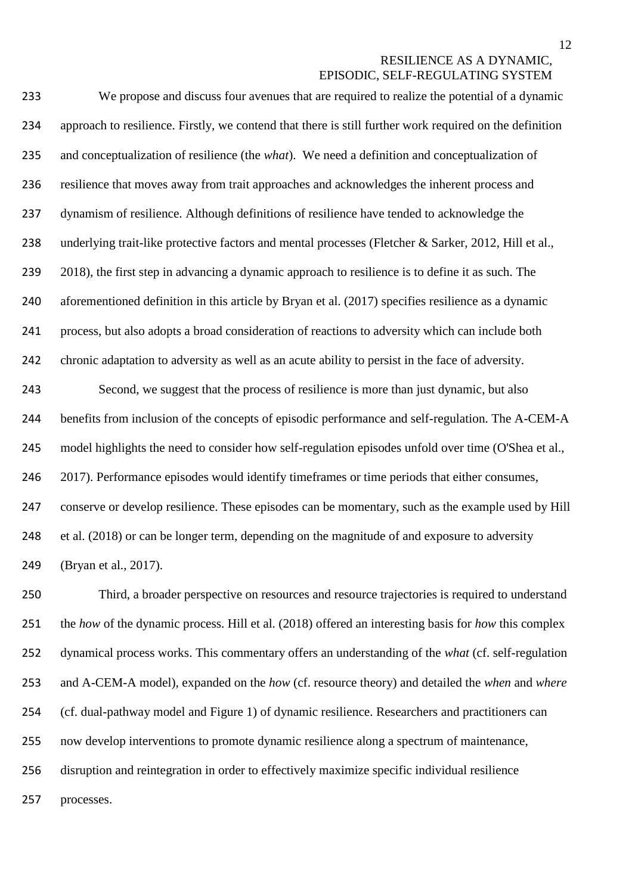| 233 | We propose and discuss four avenues that are required to realize the potential of a dynamic             |
|-----|---------------------------------------------------------------------------------------------------------|
| 234 | approach to resilience. Firstly, we contend that there is still further work required on the definition |
| 235 | and conceptualization of resilience (the <i>what</i> ). We need a definition and conceptualization of   |
| 236 | resilience that moves away from trait approaches and acknowledges the inherent process and              |
| 237 | dynamism of resilience. Although definitions of resilience have tended to acknowledge the               |
| 238 | underlying trait-like protective factors and mental processes (Fletcher & Sarker, 2012, Hill et al.,    |
| 239 | 2018), the first step in advancing a dynamic approach to resilience is to define it as such. The        |
| 240 | aforementioned definition in this article by Bryan et al. (2017) specifies resilience as a dynamic      |
| 241 | process, but also adopts a broad consideration of reactions to adversity which can include both         |
| 242 | chronic adaptation to adversity as well as an acute ability to persist in the face of adversity.        |
| 243 | Second, we suggest that the process of resilience is more than just dynamic, but also                   |
| 244 | benefits from inclusion of the concepts of episodic performance and self-regulation. The A-CEM-A        |
| 245 | model highlights the need to consider how self-regulation episodes unfold over time (O'Shea et al.,     |
| 246 | 2017). Performance episodes would identify timeframes or time periods that either consumes,             |
| 247 | conserve or develop resilience. These episodes can be momentary, such as the example used by Hill       |
| 248 | et al. (2018) or can be longer term, depending on the magnitude of and exposure to adversity            |
| 249 | (Bryan et al., 2017).                                                                                   |

 Third, a broader perspective on resources and resource trajectories is required to understand the *how* of the dynamic process. Hill et al. (2018) offered an interesting basis for *how* this complex dynamical process works. This commentary offers an understanding of the *what* (cf. self-regulation and A-CEM-A model), expanded on the *how* (cf. resource theory) and detailed the *when* and *where*  (cf. dual-pathway model and Figure 1) of dynamic resilience. Researchers and practitioners can now develop interventions to promote dynamic resilience along a spectrum of maintenance, disruption and reintegration in order to effectively maximize specific individual resilience processes.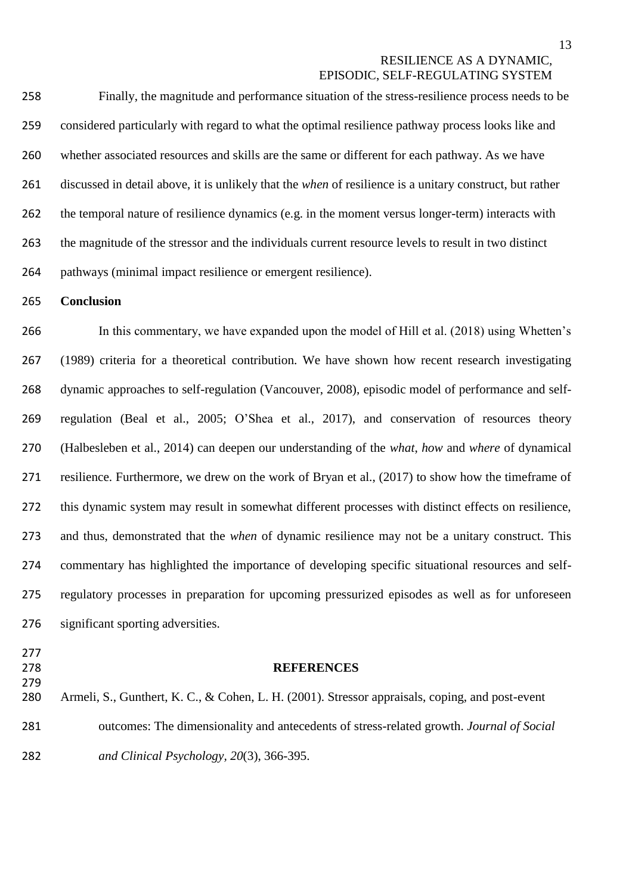Finally, the magnitude and performance situation of the stress-resilience process needs to be considered particularly with regard to what the optimal resilience pathway process looks like and whether associated resources and skills are the same or different for each pathway. As we have discussed in detail above, it is unlikely that the *when* of resilience is a unitary construct, but rather the temporal nature of resilience dynamics (e.g. in the moment versus longer-term) interacts with the magnitude of the stressor and the individuals current resource levels to result in two distinct pathways (minimal impact resilience or emergent resilience).

**Conclusion**

 In this commentary, we have expanded upon the model of Hill et al. (2018) using Whetten's (1989) criteria for a theoretical contribution. We have shown how recent research investigating dynamic approaches to self-regulation (Vancouver, 2008), episodic model of performance and self- regulation (Beal et al., 2005; O'Shea et al., 2017), and conservation of resources theory (Halbesleben et al., 2014) can deepen our understanding of the *what*, *how* and *where* of dynamical resilience. Furthermore, we drew on the work of Bryan et al., (2017) to show how the timeframe of this dynamic system may result in somewhat different processes with distinct effects on resilience, and thus, demonstrated that the *when* of dynamic resilience may not be a unitary construct. This commentary has highlighted the importance of developing specific situational resources and self- regulatory processes in preparation for upcoming pressurized episodes as well as for unforeseen significant sporting adversities.

- 
- 

# 

#### **REFERENCES**

 Armeli, S., Gunthert, K. C., & Cohen, L. H. (2001). Stressor appraisals, coping, and post-event outcomes: The dimensionality and antecedents of stress-related growth. *Journal of Social and Clinical Psychology, 20*(3), 366-395.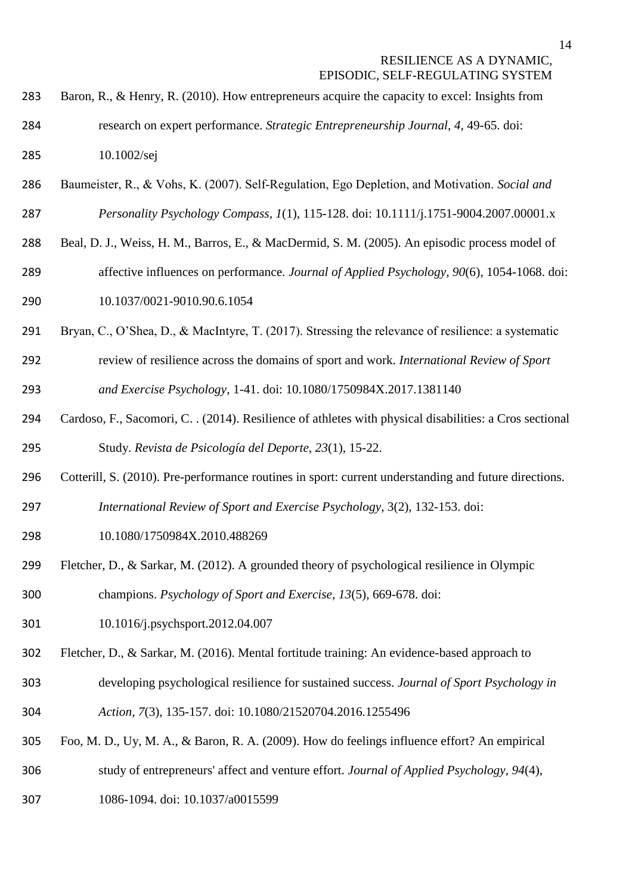- 283 Baron, R., & Henry, R. (2010). How entrepreneurs acquire the capacity to excel: Insights from research on expert performance. *Strategic Entrepreneurship Journal, 4,* 49-65. doi: 10.1002/sej
- Baumeister, R., & Vohs, K. (2007). Self‐Regulation, Ego Depletion, and Motivation. *Social and*

*Personality Psychology Compass, 1*(1), 115-128. doi: 10.1111/j.1751-9004.2007.00001.x

- Beal, D. J., Weiss, H. M., Barros, E., & MacDermid, S. M. (2005). An episodic process model of
- affective influences on performance. *Journal of Applied Psychology, 90*(6), 1054-1068. doi:
- 10.1037/0021-9010.90.6.1054
- Bryan, C., O'Shea, D., & MacIntyre, T. (2017). Stressing the relevance of resilience: a systematic
- review of resilience across the domains of sport and work. *International Review of Sport and Exercise Psychology*, 1-41. doi: 10.1080/1750984X.2017.1381140
- Cardoso, F., Sacomori, C. . (2014). Resilience of athletes with physical disabilities: a Cros sectional Study. *Revista de Psicología del Deporte, 23*(1), 15-22.
- Cotterill, S. (2010). Pre-performance routines in sport: current understanding and future directions.
- *International Review of Sport and Exercise Psychology*, 3(2), 132-153. doi:
- 10.1080/1750984X.2010.488269
- Fletcher, D., & Sarkar, M. (2012). A grounded theory of psychological resilience in Olympic champions. *Psychology of Sport and Exercise, 13*(5), 669-678. doi:
- 10.1016/j.psychsport.2012.04.007
- Fletcher, D., & Sarkar, M. (2016). Mental fortitude training: An evidence-based approach to
- developing psychological resilience for sustained success. *Journal of Sport Psychology in*
- *Action, 7*(3), 135-157. doi: 10.1080/21520704.2016.1255496
- Foo, M. D., Uy, M. A., & Baron, R. A. (2009). How do feelings influence effort? An empirical
- study of entrepreneurs' affect and venture effort. *Journal of Applied Psychology, 94*(4),
- 1086-1094. doi: 10.1037/a0015599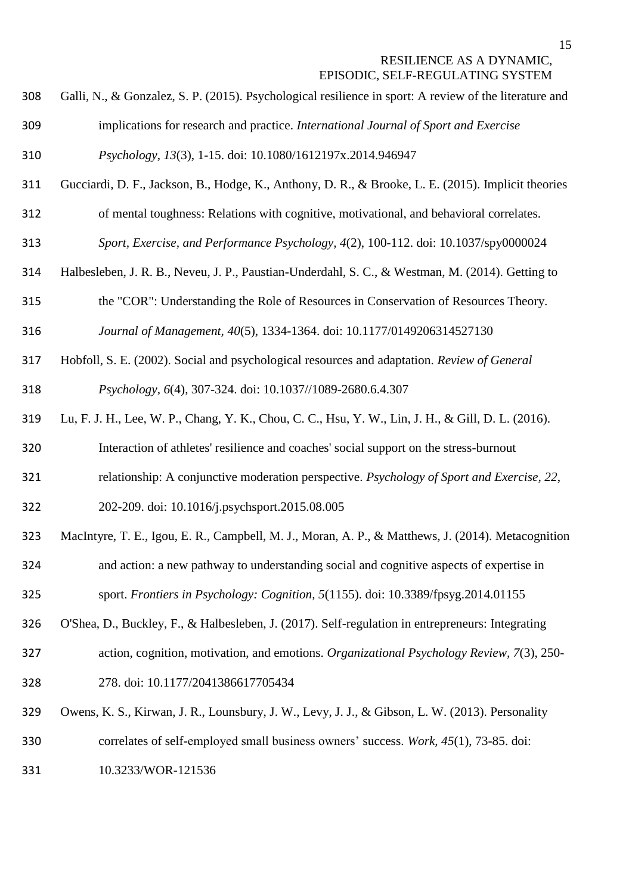- Galli, N., & Gonzalez, S. P. (2015). Psychological resilience in sport: A review of the literature and implications for research and practice. *International Journal of Sport and Exercise*
- *Psychology*, *13*(3), 1-15. doi: 10.1080/1612197x.2014.946947
- Gucciardi, D. F., Jackson, B., Hodge, K., Anthony, D. R., & Brooke, L. E. (2015). Implicit theories
- of mental toughness: Relations with cognitive, motivational, and behavioral correlates.
- *Sport, Exercise, and Performance Psychology, 4*(2), 100-112. doi: 10.1037/spy0000024
- Halbesleben, J. R. B., Neveu, J. P., Paustian-Underdahl, S. C., & Westman, M. (2014). Getting to
- the "COR": Understanding the Role of Resources in Conservation of Resources Theory. *Journal of Management, 40*(5), 1334-1364. doi: 10.1177/0149206314527130
- Hobfoll, S. E. (2002). Social and psychological resources and adaptation. *Review of General Psychology, 6*(4), 307-324. doi: 10.1037//1089-2680.6.4.307
- Lu, F. J. H., Lee, W. P., Chang, Y. K., Chou, C. C., Hsu, Y. W., Lin, J. H., & Gill, D. L. (2016).
- Interaction of athletes' resilience and coaches' social support on the stress-burnout
- relationship: A conjunctive moderation perspective. *Psychology of Sport and Exercise, 22*,
- 202-209. doi: 10.1016/j.psychsport.2015.08.005
- MacIntyre, T. E., Igou, E. R., Campbell, M. J., Moran, A. P., & Matthews, J. (2014). Metacognition and action: a new pathway to understanding social and cognitive aspects of expertise in sport. *Frontiers in Psychology: Cognition, 5*(1155). [doi: 10.3389/fpsyg.2014.01155](http://dx.doi.org/10.3389/fpsyg.2014.01155)
- O'Shea, D., Buckley, F., & Halbesleben, J. (2017). Self-regulation in entrepreneurs: Integrating
- action, cognition, motivation, and emotions. *Organizational Psychology Review, 7*(3), 250- 278. doi: 10.1177/2041386617705434
- Owens, K. S., Kirwan, J. R., Lounsbury, J. W., Levy, J. J., & Gibson, L. W. (2013). Personality correlates of self-employed small business owners' success. *Work, 45*(1), 73-85. doi:
- 10.3233/WOR-121536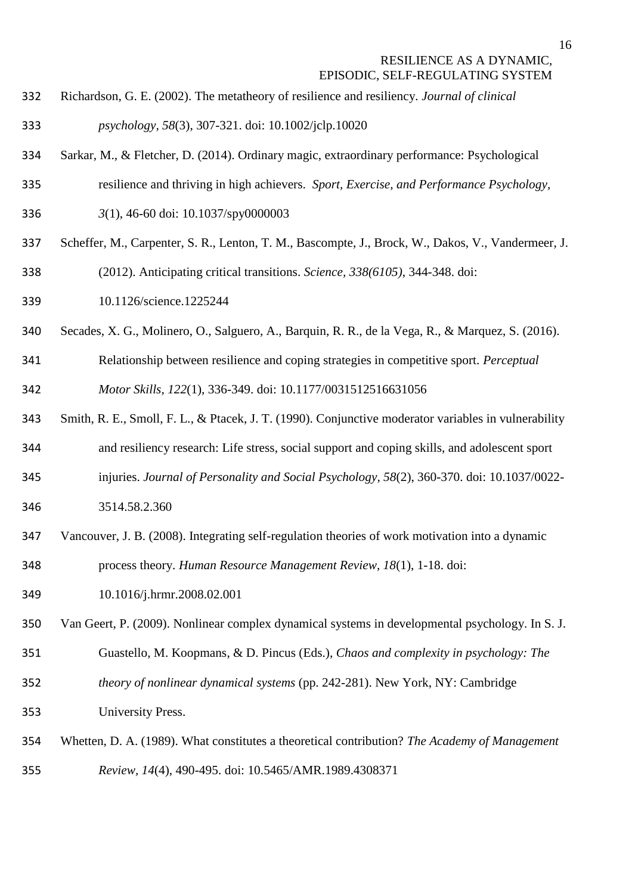Richardson, G. E. (2002). The metatheory of resilience and resiliency. *Journal of clinical* 

*psychology, 58*(3), 307-321. doi: 10.1002/jclp.10020

- Sarkar, M., & Fletcher, D. (2014). Ordinary magic, extraordinary performance: Psychological
- resilience and thriving in high achievers. *Sport, Exercise, and Performance Psychology,*
- *3*(1), 46-60 doi: 10.1037/spy0000003
- Scheffer, M., Carpenter, S. R., Lenton, T. M., Bascompte, J., Brock, W., Dakos, V., Vandermeer, J.
- (2012). Anticipating critical transitions. *Science, 338(6105)*, 344-348. doi:
- 10.1126/science.1225244
- Secades, X. G., Molinero, O., Salguero, A., Barquin, R. R., de la Vega, R., & Marquez, S. (2016).
- Relationship between resilience and coping strategies in competitive sport. *Perceptual Motor Skills, 122*(1), 336-349. doi: 10.1177/0031512516631056
- Smith, R. E., Smoll, F. L., & Ptacek, J. T. (1990). Conjunctive moderator variables in vulnerability
- and resiliency research: Life stress, social support and coping skills, and adolescent sport
- injuries. *Journal of Personality and Social Psychology, 58*(2), 360-370. doi: 10.1037/0022-
- 3514.58.2.360
- Vancouver, J. B. (2008). Integrating self-regulation theories of work motivation into a dynamic process theory. *Human Resource Management Review, 18*(1), 1-18. doi:
- 10.1016/j.hrmr.2008.02.001
- Van Geert, P. (2009). Nonlinear complex dynamical systems in developmental psychology. In S. J. Guastello, M. Koopmans, & D. Pincus (Eds.), *Chaos and complexity in psychology: The*
- *theory of nonlinear dynamical systems* (pp. 242-281). New York, NY: Cambridge University Press.
- Whetten, D. A. (1989). What constitutes a theoretical contribution? *The Academy of Management Review, 14*(4), 490-495. doi: 10.5465/AMR.1989.4308371